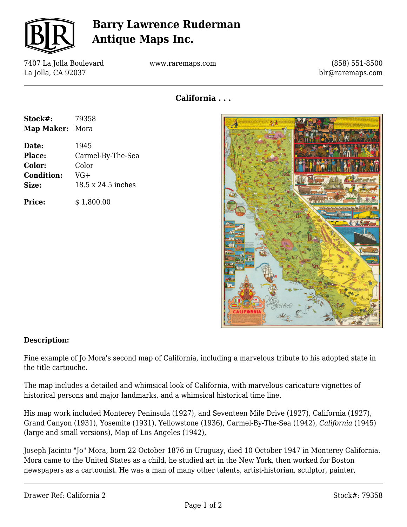

# **Barry Lawrence Ruderman Antique Maps Inc.**

7407 La Jolla Boulevard La Jolla, CA 92037

www.raremaps.com

(858) 551-8500 blr@raremaps.com

**California . . .**

| Stock#:<br><b>Map Maker:</b> | 79358<br>Mora      |
|------------------------------|--------------------|
|                              |                    |
| Place:                       | Carmel-By-The-Sea  |
| Color:                       | Color              |
| <b>Condition:</b>            | VG+                |
| Size:                        | 18.5 x 24.5 inches |
| <b>Price:</b>                | \$1,800.00         |



#### **Description:**

Fine example of Jo Mora's second map of California, including a marvelous tribute to his adopted state in the title cartouche.

The map includes a detailed and whimsical look of California, with marvelous caricature vignettes of historical persons and major landmarks, and a whimsical historical time line.

His map work included Monterey Peninsula (1927), and Seventeen Mile Drive (1927), California (1927), Grand Canyon (1931), Yosemite (1931), Yellowstone (1936), Carmel-By-The-Sea (1942), *California* (1945) (large and small versions), Map of Los Angeles (1942),

Joseph Jacinto "Jo" Mora, born 22 October 1876 in Uruguay, died 10 October 1947 in Monterey California. Mora came to the United States as a child, he studied art in the New York, then worked for Boston newspapers as a cartoonist. He was a man of many other talents, artist-historian, sculptor, painter,